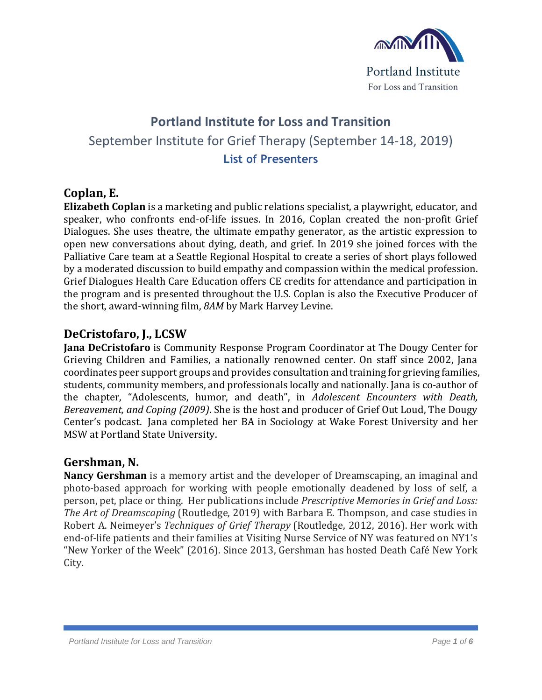

# **Portland Institute for Loss and Transition** September Institute for Grief Therapy (September 14-18, 2019) **List of Presenters**

#### **Coplan, E.**

**Elizabeth Coplan** is a marketing and public relations specialist, a playwright, educator, and speaker, who confronts end-of-life issues. In 2016, Coplan created the non-profit Grief Dialogues. She uses theatre, the ultimate empathy generator, as the artistic expression to open new conversations about dying, death, and grief. In 2019 she joined forces with the Palliative Care team at a Seattle Regional Hospital to create a series of short plays followed by a moderated discussion to build empathy and compassion within the medical profession. Grief Dialogues Health Care Education offers CE credits for attendance and participation in the program and is presented throughout the U.S. Coplan is also the Executive Producer of the short, award-winning film, *8AM* by Mark Harvey Levine.

#### **DeCristofaro, J., LCSW**

**Jana DeCristofaro** is Community Response Program Coordinator at The Dougy Center for Grieving Children and Families, a nationally renowned center. On staff since 2002, Jana coordinates peer support groups and provides consultation and training for grieving families, students, community members, and professionals locally and nationally. Jana is co-author of the chapter, "Adolescents, humor, and death", in *Adolescent Encounters with Death, Bereavement, and Coping (2009)*. She is the host and producer of Grief Out Loud, The Dougy Center's podcast. Jana completed her BA in Sociology at Wake Forest University and her MSW at Portland State University.

#### **Gershman, N.**

**Nancy Gershman** is a memory artist and the developer of Dreamscaping, an imaginal and photo-based approach for working with people emotionally deadened by loss of self, a person, pet, place or thing. Her publications include *Prescriptive Memories in Grief and Loss: The Art of Dreamscaping* (Routledge, 2019) with Barbara E. Thompson, and case studies in Robert A. Neimeyer's *Techniques of Grief Therapy* (Routledge, 2012, 2016). Her work with end-of-life patients and their families at Visiting Nurse Service of NY was featured on NY1's "New Yorker of the Week" (2016). Since 2013, Gershman has hosted Death Café New York City.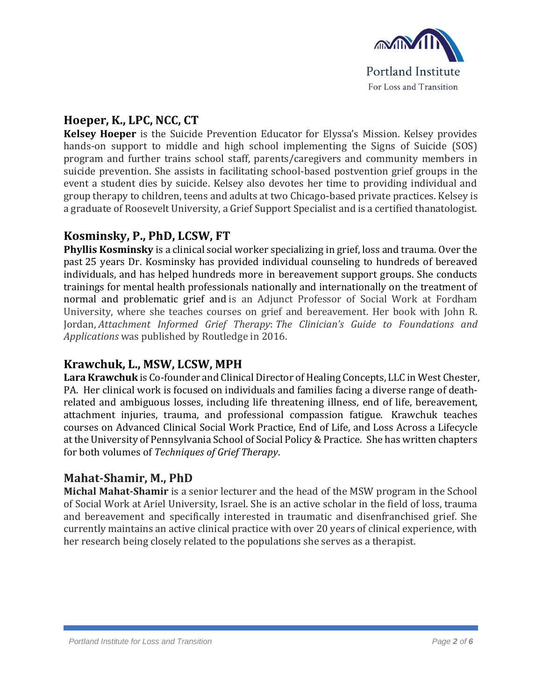

# **Hoeper, K., LPC, NCC, CT**

**Kelsey Hoeper** is the Suicide Prevention Educator for Elyssa's Mission. Kelsey provides hands-on support to middle and high school implementing the Signs of Suicide (SOS) program and further trains school staff, parents/caregivers and community members in suicide prevention. She assists in facilitating school-based postvention grief groups in the event a student dies by suicide. Kelsey also devotes her time to providing individual and group therapy to children, teens and adults at two Chicago-based private practices. Kelsey is a graduate of Roosevelt University, a Grief Support Specialist and is a certified thanatologist.

#### **Kosminsky, P., PhD, LCSW, FT**

**Phyllis Kosminsky** is a clinical social worker specializing in grief, loss and trauma. Over the past 25 years Dr. Kosminsky has provided individual counseling to hundreds of bereaved individuals, and has helped hundreds more in bereavement support groups. She conducts trainings for mental health professionals nationally and internationally on the treatment of normal and problematic grief and is an Adjunct Professor of Social Work at Fordham University, where she teaches courses on grief and bereavement. Her book with John R. Jordan, *Attachment Informed Grief Therapy*: *The Clinician's Guide to Foundations and Applications* was published by Routledge in 2016.

#### **Krawchuk, L., MSW, LCSW, MPH**

Lara Krawchuk is Co-founder and Clinical Director of Healing Concepts, LLC in West Chester, PA. Her clinical work is focused on individuals and families facing a diverse range of deathrelated and ambiguous losses, including life threatening illness, end of life, bereavement, attachment injuries, trauma, and professional compassion fatigue. Krawchuk teaches courses on Advanced Clinical Social Work Practice, End of Life, and Loss Across a Lifecycle at the University of Pennsylvania School of Social Policy & Practice. She has written chapters for both volumes of *Techniques of Grief Therapy*.

### **Mahat-Shamir, M., PhD**

**Michal Mahat-Shamir** is a senior lecturer and the head of the MSW program in the School of Social Work at Ariel University, Israel. She is an active scholar in the field of loss, trauma and bereavement and specifically interested in traumatic and disenfranchised grief. She currently maintains an active clinical practice with over 20 years of clinical experience, with her research being closely related to the populations she serves as a therapist.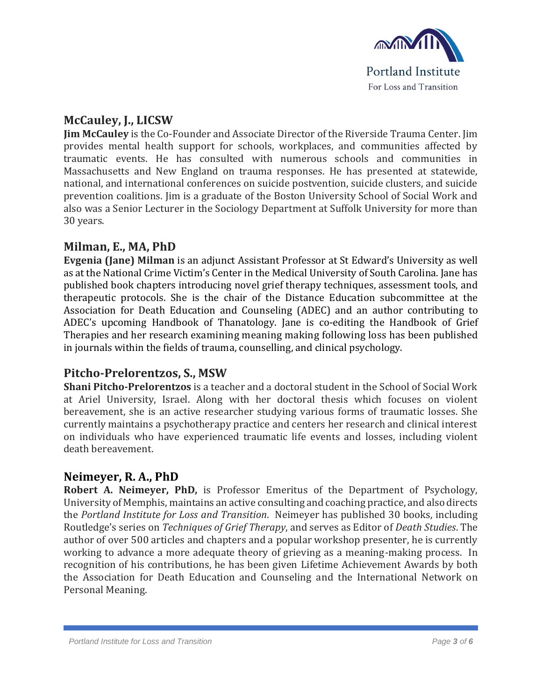

#### **McCauley, J., LICSW**

**Jim McCauley** is the Co-Founder and Associate Director of the Riverside Trauma Center. Jim provides mental health support for schools, workplaces, and communities affected by traumatic events. He has consulted with numerous schools and communities in Massachusetts and New England on trauma responses. He has presented at statewide, national, and international conferences on suicide postvention, suicide clusters, and suicide prevention coalitions. Jim is a graduate of the Boston University School of Social Work and also was a Senior Lecturer in the Sociology Department at Suffolk University for more than 30 years.

### **Milman, E., MA, PhD**

**Evgenia (Jane) Milman** is an adjunct Assistant Professor at St Edward's University as well as at the National Crime Victim's Center in the Medical University of South Carolina. Jane has published book chapters introducing novel grief therapy techniques, assessment tools, and therapeutic protocols. She is the chair of the Distance Education subcommittee at the Association for Death Education and Counseling (ADEC) and an author contributing to ADEC's upcoming Handbook of Thanatology. Jane is co-editing the Handbook of Grief Therapies and her research examining meaning making following loss has been published in journals within the fields of trauma, counselling, and clinical psychology.

#### **Pitcho-Prelorentzos, S., MSW**

**Shani Pitcho-Prelorentzos** is a teacher and a doctoral student in the School of Social Work at Ariel University, Israel. Along with her doctoral thesis which focuses on violent bereavement, she is an active researcher studying various forms of traumatic losses. She currently maintains a psychotherapy practice and centers her research and clinical interest on individuals who have experienced traumatic life events and losses, including violent death bereavement.

#### **Neimeyer, R. A., PhD**

**Robert A. Neimeyer, PhD,** is Professor Emeritus of the Department of Psychology, University of Memphis, maintains an active consulting and coaching practice, and also directs the *Portland Institute for Loss and Transition*. Neimeyer has published 30 books, including Routledge's series on *Techniques of Grief Therapy*, and serves as Editor of *Death Studies*. The author of over 500 articles and chapters and a popular workshop presenter, he is currently working to advance a more adequate theory of grieving as a meaning-making process. In recognition of his contributions, he has been given Lifetime Achievement Awards by both the Association for Death Education and Counseling and the International Network on Personal Meaning.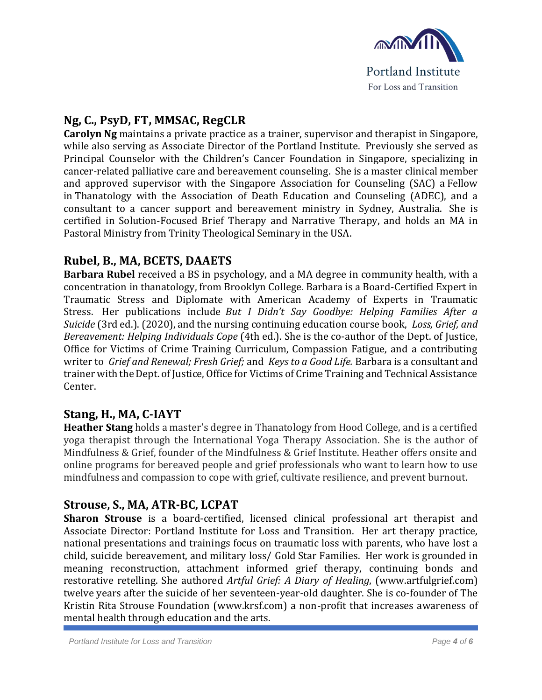

# **Ng, C., PsyD, FT, MMSAC, RegCLR**

**Carolyn Ng** maintains a private practice as a trainer, supervisor and therapist in Singapore, while also serving as Associate Director of the Portland Institute. Previously she served as Principal Counselor with the Children's Cancer Foundation in Singapore, specializing in cancer-related palliative care and bereavement counseling. She is a master clinical member and approved supervisor with the Singapore Association for Counseling (SAC) a Fellow in Thanatology with the Association of Death Education and Counseling (ADEC), and a consultant to a cancer support and bereavement ministry in Sydney, Australia. She is certified in Solution-Focused Brief Therapy and Narrative Therapy, and holds an MA in Pastoral Ministry from Trinity Theological Seminary in the USA.

### **Rubel, B., MA, BCETS, DAAETS**

**Barbara Rubel** received a BS in psychology, and a MA degree in community health, with a concentration in thanatology, from Brooklyn College. Barbara is a Board-Certified Expert in Traumatic Stress and Diplomate with American Academy of Experts in Traumatic Stress. Her publications include *But I Didn't Say Goodbye: Helping Families After a Suicide* (3rd ed.). (2020), and the nursing continuing education course book, *Loss, Grief, and Bereavement: Helping Individuals Cope* (4th ed.). She is the co-author of the Dept. of Justice, Office for Victims of Crime Training Curriculum, Compassion Fatigue, and a contributing writer to *Grief and Renewal; Fresh Grief;* and *Keys to a Good Life.* Barbara is a consultant and trainer with the Dept. of Justice, Office for Victims of Crime Training and Technical Assistance Center.

#### **Stang, H., MA, C-IAYT**

**Heather Stang** holds a master's degree in Thanatology from Hood College, and is a certified yoga therapist through the International Yoga Therapy Association. She is the author of Mindfulness & Grief, founder of the Mindfulness & Grief Institute. Heather offers onsite and online programs for bereaved people and grief professionals who want to learn how to use mindfulness and compassion to cope with grief, cultivate resilience, and prevent burnout.

#### **Strouse, S., MA, ATR-BC, LCPAT**

**Sharon Strouse** is a board-certified, licensed clinical professional art therapist and Associate Director: Portland Institute for Loss and Transition. Her art therapy practice, national presentations and trainings focus on traumatic loss with parents, who have lost a child, suicide bereavement, and military loss/ Gold Star Families. Her work is grounded in meaning reconstruction, attachment informed grief therapy, continuing bonds and restorative retelling. She authored *Artful Grief: A Diary of Healing*, (www.artfulgrief.com) twelve years after the suicide of her seventeen-year-old daughter. She is co-founder of The Kristin Rita Strouse Foundation (www.krsf.com) a non-profit that increases awareness of mental health through education and the arts.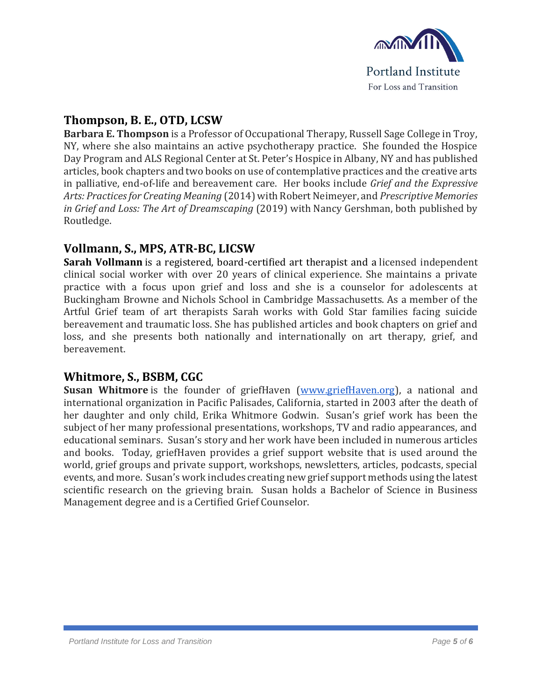

# **Thompson, B. E., OTD, LCSW**

**Barbara E. Thompson** is a Professor of Occupational Therapy, Russell Sage College in Troy, NY, where she also maintains an active psychotherapy practice. She founded the Hospice Day Program and ALS Regional Center at St. Peter's Hospice in Albany, NY and has published articles, book chapters and two books on use of contemplative practices and the creative arts in palliative, end-of-life and bereavement care. Her books include *Grief and the Expressive Arts: Practices for Creating Meaning* (2014) with Robert Neimeyer, and *Prescriptive Memories in Grief and Loss: The Art of Dreamscaping* (2019) with Nancy Gershman, both published by Routledge.

### **Vollmann, S., MPS, ATR-BC, LICSW**

**Sarah Vollmann** is a registered, board-certified art therapist and a licensed independent clinical social worker with over 20 years of clinical experience. She maintains a private practice with a focus upon grief and loss and she is a counselor for adolescents at Buckingham Browne and Nichols School in Cambridge Massachusetts. As a member of the Artful Grief team of art therapists Sarah works with Gold Star families facing suicide bereavement and traumatic loss. She has published articles and book chapters on grief and loss, and she presents both nationally and internationally on art therapy, grief, and bereavement.

#### **Whitmore, S., BSBM, CGC**

**Susan Whitmore** is the founder of griefHaven [\(www.griefHaven.org\)](http://www.griefhaven.org/), a national and international organization in Pacific Palisades, California, started in 2003 after the death of her daughter and only child, Erika Whitmore Godwin. Susan's grief work has been the subject of her many professional presentations, workshops, TV and radio appearances, and educational seminars. Susan's story and her work have been included in numerous articles and books. Today, griefHaven provides a grief support website that is used around the world, grief groups and private support, workshops, newsletters, articles, podcasts, special events, and more. Susan's work includes creating new grief support methods using the latest scientific research on the grieving brain. Susan holds a Bachelor of Science in Business Management degree and is a Certified Grief Counselor.